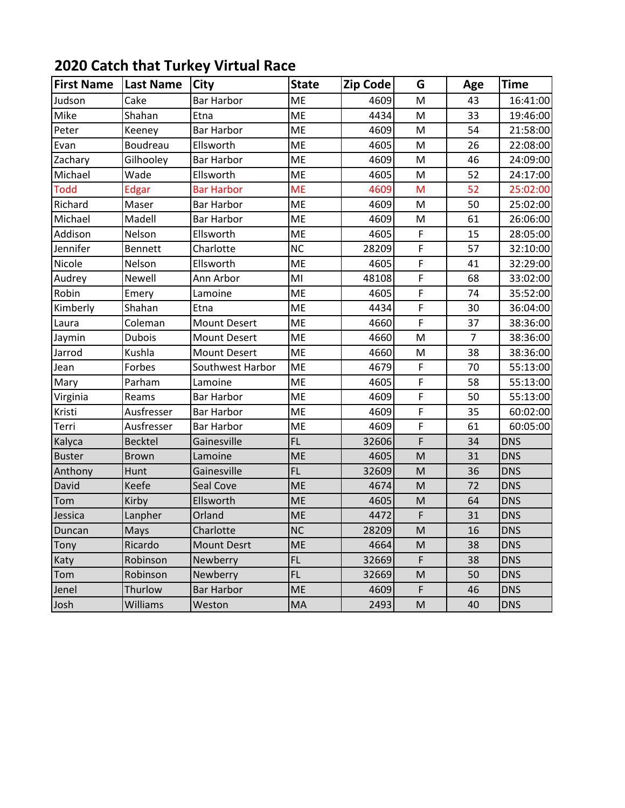## **2020 Catch that Turkey Virtual Race**

| <b>First Name</b> | <b>Last Name</b> | <b>City</b>         | <b>State</b> | <b>Zip Code</b> | G              | Age            | Time       |
|-------------------|------------------|---------------------|--------------|-----------------|----------------|----------------|------------|
| Judson            | Cake             | <b>Bar Harbor</b>   | <b>ME</b>    | 4609            | M              | 43             | 16:41:00   |
| Mike              | Shahan           | Etna                | <b>ME</b>    | 4434            | M              | 33             | 19:46:00   |
| Peter             | Keeney           | <b>Bar Harbor</b>   | ME           | 4609            | M              | 54             | 21:58:00   |
| Evan              | Boudreau         | Ellsworth           | <b>ME</b>    | 4605            | M              | 26             | 22:08:00   |
| Zachary           | Gilhooley        | <b>Bar Harbor</b>   | ME           | 4609            | M              | 46             | 24:09:00   |
| Michael           | Wade             | Ellsworth           | ME           | 4605            | M              | 52             | 24:17:00   |
| <b>Todd</b>       | Edgar            | <b>Bar Harbor</b>   | <b>ME</b>    | 4609            | M              | 52             | 25:02:00   |
| Richard           | Maser            | <b>Bar Harbor</b>   | <b>ME</b>    | 4609            | M              | 50             | 25:02:00   |
| Michael           | Madell           | <b>Bar Harbor</b>   | <b>ME</b>    | 4609            | M              | 61             | 26:06:00   |
| Addison           | Nelson           | Ellsworth           | <b>ME</b>    | 4605            | F              | 15             | 28:05:00   |
| Jennifer          | Bennett          | Charlotte           | <b>NC</b>    | 28209           | F              | 57             | 32:10:00   |
| Nicole            | Nelson           | Ellsworth           | ME           | 4605            | F              | 41             | 32:29:00   |
| Audrey            | Newell           | Ann Arbor           | MI           | 48108           | F              | 68             | 33:02:00   |
| Robin             | Emery            | Lamoine             | <b>ME</b>    | 4605            | F              | 74             | 35:52:00   |
| Kimberly          | Shahan           | Etna                | ME           | 4434            | F              | 30             | 36:04:00   |
| Laura             | Coleman          | <b>Mount Desert</b> | <b>ME</b>    | 4660            | F              | 37             | 38:36:00   |
| Jaymin            | <b>Dubois</b>    | <b>Mount Desert</b> | ME           | 4660            | M              | $\overline{7}$ | 38:36:00   |
| Jarrod            | Kushla           | <b>Mount Desert</b> | ME           | 4660            | M              | 38             | 38:36:00   |
| Jean              | Forbes           | Southwest Harbor    | ME           | 4679            | F              | 70             | 55:13:00   |
| Mary              | Parham           | Lamoine             | ME           | 4605            | F              | 58             | 55:13:00   |
| Virginia          | Reams            | <b>Bar Harbor</b>   | ME           | 4609            | F              | 50             | 55:13:00   |
| Kristi            | Ausfresser       | <b>Bar Harbor</b>   | ME           | 4609            | F              | 35             | 60:02:00   |
| Terri             | Ausfresser       | <b>Bar Harbor</b>   | ME           | 4609            | $\overline{F}$ | 61             | 60:05:00   |
| Kalyca            | <b>Becktel</b>   | Gainesville         | FL           | 32606           | F              | 34             | <b>DNS</b> |
| <b>Buster</b>     | <b>Brown</b>     | Lamoine             | <b>ME</b>    | 4605            | M              | 31             | <b>DNS</b> |
| Anthony           | Hunt             | Gainesville         | FL           | 32609           | M              | 36             | <b>DNS</b> |
| David             | Keefe            | Seal Cove           | <b>ME</b>    | 4674            | M              | 72             | <b>DNS</b> |
| Tom               | Kirby            | Ellsworth           | <b>ME</b>    | 4605            | M              | 64             | <b>DNS</b> |
| Jessica           | Lanpher          | Orland              | <b>ME</b>    | 4472            | F              | 31             | <b>DNS</b> |
| Duncan            | Mays             | Charlotte           | <b>NC</b>    | 28209           | ${\sf M}$      | 16             | <b>DNS</b> |
| Tony              | Ricardo          | <b>Mount Desrt</b>  | ME           | 4664            | M              | 38             | <b>DNS</b> |
| Katy              | Robinson         | Newberry            | FL.          | 32669           | F              | 38             | <b>DNS</b> |
| Tom               | Robinson         | Newberry            | FL.          | 32669           | M              | 50             | <b>DNS</b> |
| Jenel             | Thurlow          | <b>Bar Harbor</b>   | ME           | 4609            | F              | 46             | <b>DNS</b> |
| Josh              | Williams         | Weston              | MA           | 2493            | M              | 40             | <b>DNS</b> |